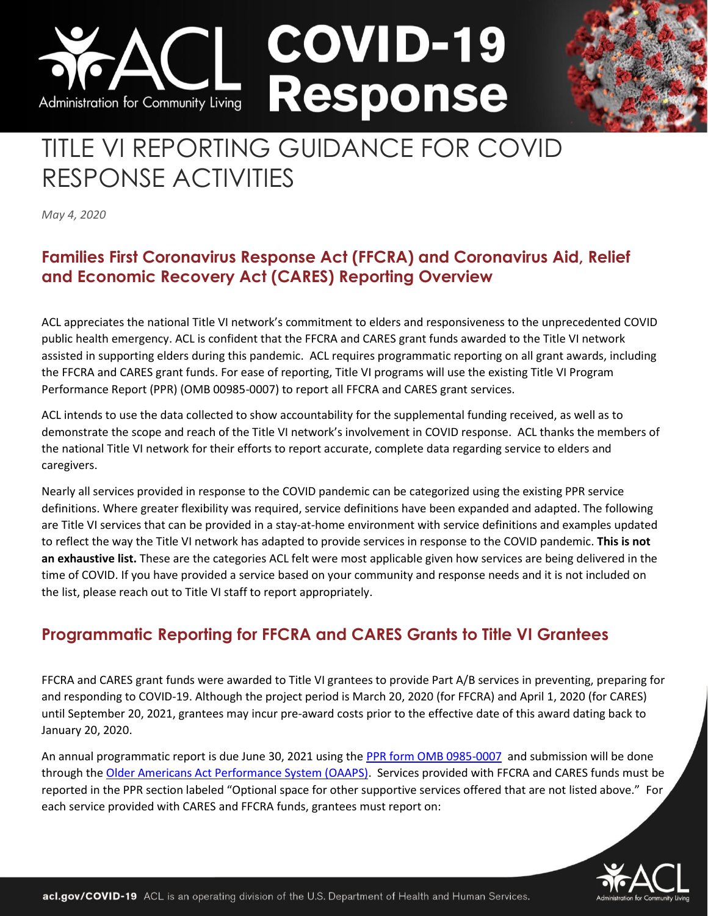# **COVID-19 Response** Administration for Community Living

# TITLE VI REPORTING GUIDANCE FOR COVID RESPONSE ACTIVITIES

*May 4, 2020* 

### **Families First Coronavirus Response Act (FFCRA) and Coronavirus Aid, Relief and Economic Recovery Act (CARES) Reporting Overview**

ACL appreciates the national Title VI network's commitment to elders and responsiveness to the unprecedented COVID public health emergency. ACL is confident that the FFCRA and CARES grant funds awarded to the Title VI network assisted in supporting elders during this pandemic. ACL requires programmatic reporting on all grant awards, including the FFCRA and CARES grant funds. For ease of reporting, Title VI programs will use the existing Title VI Program Performance Report (PPR) (OMB 00985-0007) to report all FFCRA and CARES grant services.

ACL intends to use the data collected to show accountability for the supplemental funding received, as well as to demonstrate the scope and reach of the Title VI network's involvement in COVID response. ACL thanks the members of the national Title VI network for their efforts to report accurate, complete data regarding service to elders and caregivers.

Nearly all services provided in response to the COVID pandemic can be categorized using the existing PPR service definitions. Where greater flexibility was required, service definitions have been expanded and adapted. The following are Title VI services that can be provided in a stay-at-home environment with service definitions and examples updated to reflect the way the Title VI network has adapted to provide services in response to the COVID pandemic. **This is not an exhaustive list.** These are the categories ACL felt were most applicable given how services are being delivered in the time of COVID. If you have provided a service based on your community and response needs and it is not included on the list, please reach out to Title VI staff to report appropriately.

## **Programmatic Reporting for FFCRA and CARES Grants to Title VI Grantees**

FFCRA and CARES grant funds were awarded to Title VI grantees to provide Part A/B services in preventing, preparing for and responding to COVID-19. Although the project period is March 20, 2020 (for FFCRA) and April 1, 2020 (for CARES) until September 20, 2021, grantees may incur pre-award costs prior to the effective date of this award dating back to January 20, 2020.

An annual programmatic report is due June 30, 2021 using the [PPR form OMB 0985-0007](https://olderindians.acl.gov/sites/default/files/uploads/docs/PPR%20Revision%20Instrument%20and%20Definitions%203.11.20.pdf) and submission will be done through th[e Older Americans Act Performance System \(OAAPS\).](https://oaaps.acl.gov/app/welcome) Services provided with FFCRA and CARES funds must be reported in the PPR section labeled "Optional space for other supportive services offered that are not listed above." For each service provided with CARES and FFCRA funds, grantees must report on:

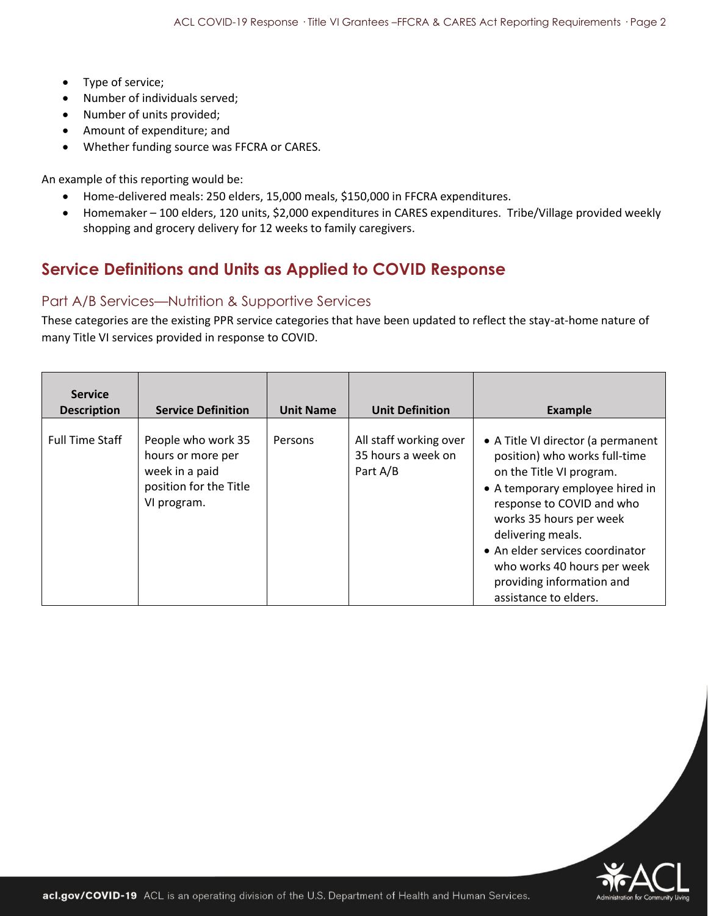- Type of service;
- Number of individuals served;
- Number of units provided;
- Amount of expenditure; and
- Whether funding source was FFCRA or CARES.

An example of this reporting would be:

- Home-delivered meals: 250 elders, 15,000 meals, \$150,000 in FFCRA expenditures.
- Homemaker 100 elders, 120 units, \$2,000 expenditures in CARES expenditures. Tribe/Village provided weekly shopping and grocery delivery for 12 weeks to family caregivers.

#### **Service Definitions and Units as Applied to COVID Response**

#### Part A/B Services—Nutrition & Supportive Services

These categories are the existing PPR service categories that have been updated to reflect the stay-at-home nature of many Title VI services provided in response to COVID.

| <b>Service</b><br><b>Description</b> | <b>Service Definition</b>                                                                          | <b>Unit Name</b> | <b>Unit Definition</b>                                   | <b>Example</b>                                                                                                                                                                                                                                                                                                                          |
|--------------------------------------|----------------------------------------------------------------------------------------------------|------------------|----------------------------------------------------------|-----------------------------------------------------------------------------------------------------------------------------------------------------------------------------------------------------------------------------------------------------------------------------------------------------------------------------------------|
| <b>Full Time Staff</b>               | People who work 35<br>hours or more per<br>week in a paid<br>position for the Title<br>VI program. | Persons          | All staff working over<br>35 hours a week on<br>Part A/B | • A Title VI director (a permanent<br>position) who works full-time<br>on the Title VI program.<br>• A temporary employee hired in<br>response to COVID and who<br>works 35 hours per week<br>delivering meals.<br>• An elder services coordinator<br>who works 40 hours per week<br>providing information and<br>assistance to elders. |

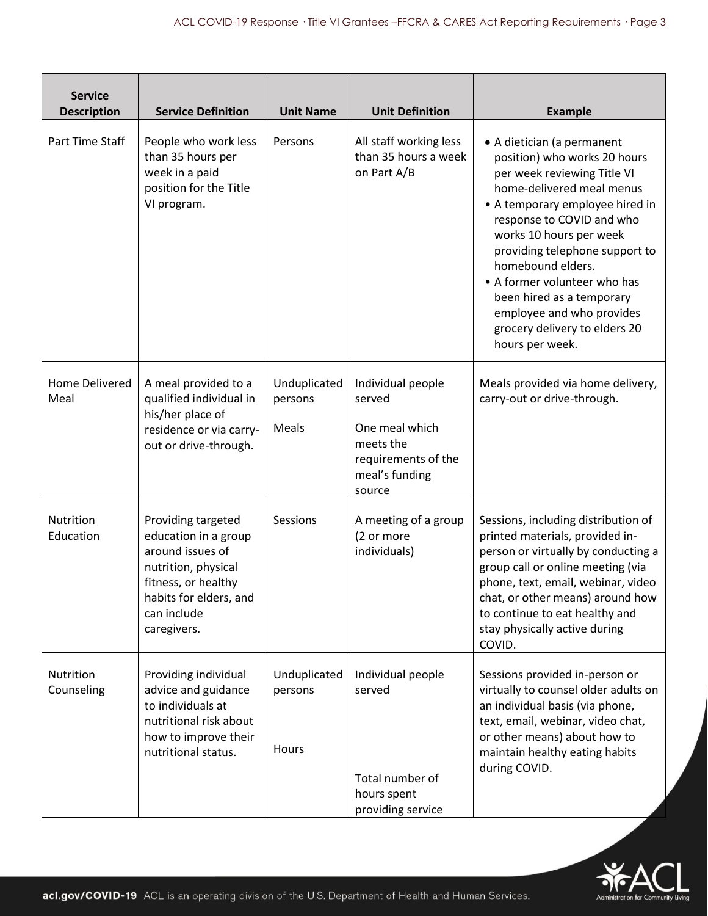| <b>Service</b><br><b>Description</b> | <b>Service Definition</b>                                                                                                                                            | <b>Unit Name</b>                 | <b>Unit Definition</b>                                                                                        | <b>Example</b>                                                                                                                                                                                                                                                                                                                                                                                                         |
|--------------------------------------|----------------------------------------------------------------------------------------------------------------------------------------------------------------------|----------------------------------|---------------------------------------------------------------------------------------------------------------|------------------------------------------------------------------------------------------------------------------------------------------------------------------------------------------------------------------------------------------------------------------------------------------------------------------------------------------------------------------------------------------------------------------------|
| Part Time Staff                      | People who work less<br>than 35 hours per<br>week in a paid<br>position for the Title<br>VI program.                                                                 | Persons                          | All staff working less<br>than 35 hours a week<br>on Part A/B                                                 | • A dietician (a permanent<br>position) who works 20 hours<br>per week reviewing Title VI<br>home-delivered meal menus<br>• A temporary employee hired in<br>response to COVID and who<br>works 10 hours per week<br>providing telephone support to<br>homebound elders.<br>• A former volunteer who has<br>been hired as a temporary<br>employee and who provides<br>grocery delivery to elders 20<br>hours per week. |
| Home Delivered<br>Meal               | A meal provided to a<br>qualified individual in<br>his/her place of<br>residence or via carry-<br>out or drive-through.                                              | Unduplicated<br>persons<br>Meals | Individual people<br>served<br>One meal which<br>meets the<br>requirements of the<br>meal's funding<br>source | Meals provided via home delivery,<br>carry-out or drive-through.                                                                                                                                                                                                                                                                                                                                                       |
| Nutrition<br>Education               | Providing targeted<br>education in a group<br>around issues of<br>nutrition, physical<br>fitness, or healthy<br>habits for elders, and<br>can include<br>caregivers. | Sessions                         | A meeting of a group<br>(2 or more<br>individuals)                                                            | Sessions, including distribution of<br>printed materials, provided in-<br>person or virtually by conducting a<br>group call or online meeting (via<br>phone, text, email, webinar, video<br>chat, or other means) around how<br>to continue to eat healthy and<br>stay physically active during<br>COVID.                                                                                                              |
| Nutrition<br>Counseling              | Providing individual<br>advice and guidance<br>to individuals at<br>nutritional risk about<br>how to improve their<br>nutritional status.                            | Unduplicated<br>persons<br>Hours | Individual people<br>served<br>Total number of<br>hours spent<br>providing service                            | Sessions provided in-person or<br>virtually to counsel older adults on<br>an individual basis (via phone,<br>text, email, webinar, video chat,<br>or other means) about how to<br>maintain healthy eating habits<br>during COVID.                                                                                                                                                                                      |

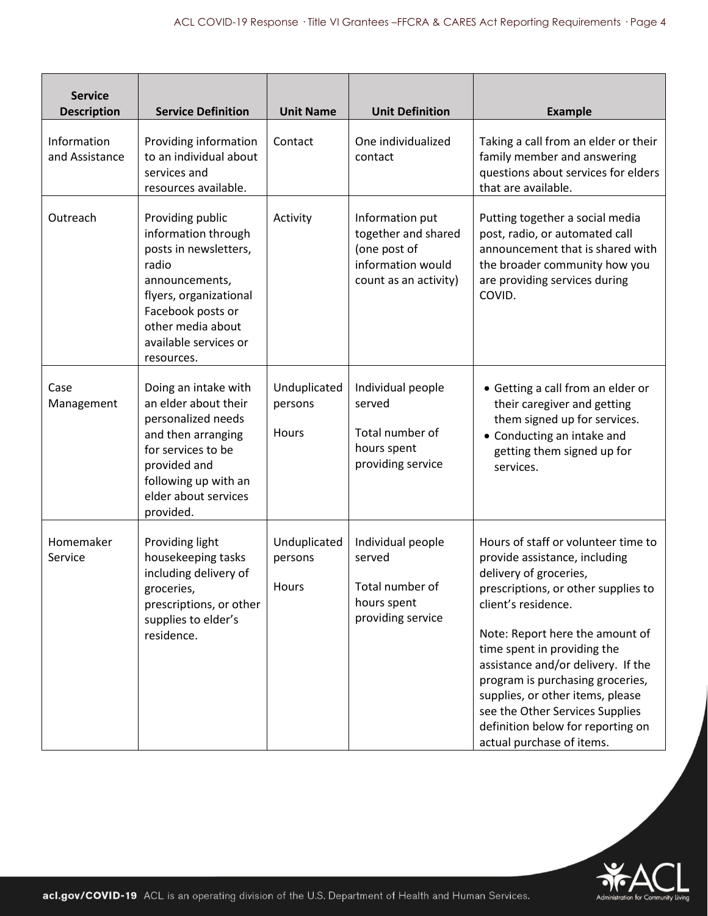| <b>Service</b><br><b>Description</b> | <b>Service Definition</b>                                                                                                                                                                              | <b>Unit Name</b>                 | <b>Unit Definition</b>                                                                               | <b>Example</b>                                                                                                                                                                                                                                                                                                                                                                                                                                    |
|--------------------------------------|--------------------------------------------------------------------------------------------------------------------------------------------------------------------------------------------------------|----------------------------------|------------------------------------------------------------------------------------------------------|---------------------------------------------------------------------------------------------------------------------------------------------------------------------------------------------------------------------------------------------------------------------------------------------------------------------------------------------------------------------------------------------------------------------------------------------------|
| Information<br>and Assistance        | Providing information<br>to an individual about<br>services and<br>resources available.                                                                                                                | Contact                          | One individualized<br>contact                                                                        | Taking a call from an elder or their<br>family member and answering<br>questions about services for elders<br>that are available.                                                                                                                                                                                                                                                                                                                 |
| Outreach                             | Providing public<br>information through<br>posts in newsletters,<br>radio<br>announcements,<br>flyers, organizational<br>Facebook posts or<br>other media about<br>available services or<br>resources. | Activity                         | Information put<br>together and shared<br>(one post of<br>information would<br>count as an activity) | Putting together a social media<br>post, radio, or automated call<br>announcement that is shared with<br>the broader community how you<br>are providing services during<br>COVID.                                                                                                                                                                                                                                                                 |
| Case<br>Management                   | Doing an intake with<br>an elder about their<br>personalized needs<br>and then arranging<br>for services to be<br>provided and<br>following up with an<br>elder about services<br>provided.            | Unduplicated<br>persons<br>Hours | Individual people<br>served<br>Total number of<br>hours spent<br>providing service                   | • Getting a call from an elder or<br>their caregiver and getting<br>them signed up for services.<br>• Conducting an intake and<br>getting them signed up for<br>services.                                                                                                                                                                                                                                                                         |
| Homemaker<br>Service                 | Providing light<br>housekeeping tasks<br>including delivery of<br>groceries,<br>prescriptions, or other<br>supplies to elder's<br>residence.                                                           | Unduplicated<br>persons<br>Hours | Individual people<br>served<br>Total number of<br>hours spent<br>providing service                   | Hours of staff or volunteer time to<br>provide assistance, including<br>delivery of groceries,<br>prescriptions, or other supplies to<br>client's residence.<br>Note: Report here the amount of<br>time spent in providing the<br>assistance and/or delivery. If the<br>program is purchasing groceries,<br>supplies, or other items, please<br>see the Other Services Supplies<br>definition below for reporting on<br>actual purchase of items. |

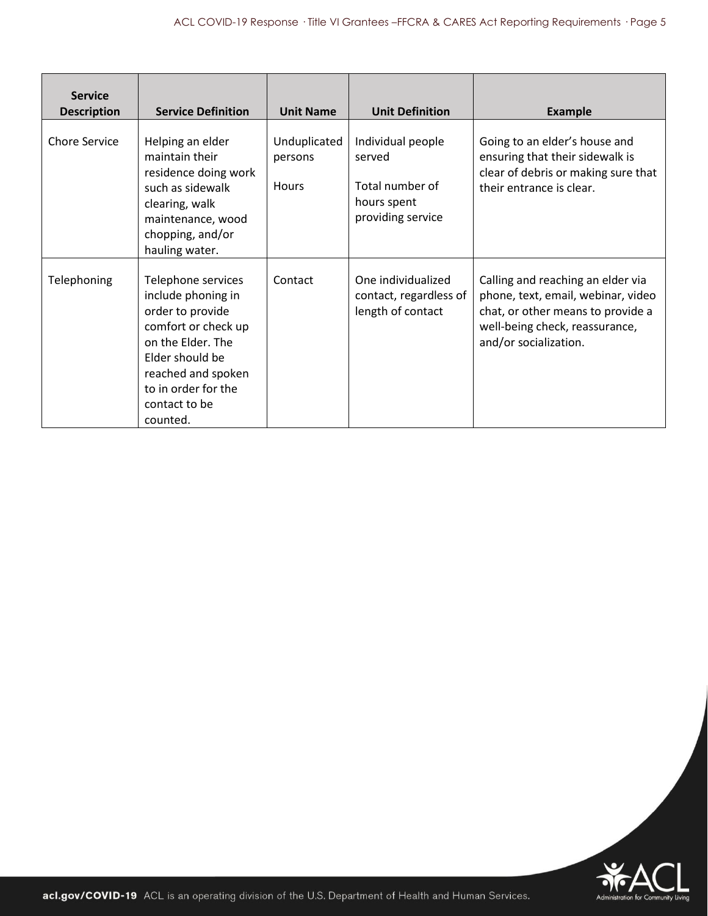| <b>Service</b><br><b>Description</b> | <b>Service Definition</b>                                                                                                                                                                             | <b>Unit Name</b>                        | <b>Unit Definition</b>                                                             | <b>Example</b>                                                                                                                                                          |
|--------------------------------------|-------------------------------------------------------------------------------------------------------------------------------------------------------------------------------------------------------|-----------------------------------------|------------------------------------------------------------------------------------|-------------------------------------------------------------------------------------------------------------------------------------------------------------------------|
| <b>Chore Service</b>                 | Helping an elder<br>maintain their<br>residence doing work<br>such as sidewalk<br>clearing, walk<br>maintenance, wood<br>chopping, and/or<br>hauling water.                                           | Unduplicated<br>persons<br><b>Hours</b> | Individual people<br>served<br>Total number of<br>hours spent<br>providing service | Going to an elder's house and<br>ensuring that their sidewalk is<br>clear of debris or making sure that<br>their entrance is clear.                                     |
| Telephoning                          | Telephone services<br>include phoning in<br>order to provide<br>comfort or check up<br>on the Elder. The<br>Elder should be<br>reached and spoken<br>to in order for the<br>contact to be<br>counted. | Contact                                 | One individualized<br>contact, regardless of<br>length of contact                  | Calling and reaching an elder via<br>phone, text, email, webinar, video<br>chat, or other means to provide a<br>well-being check, reassurance,<br>and/or socialization. |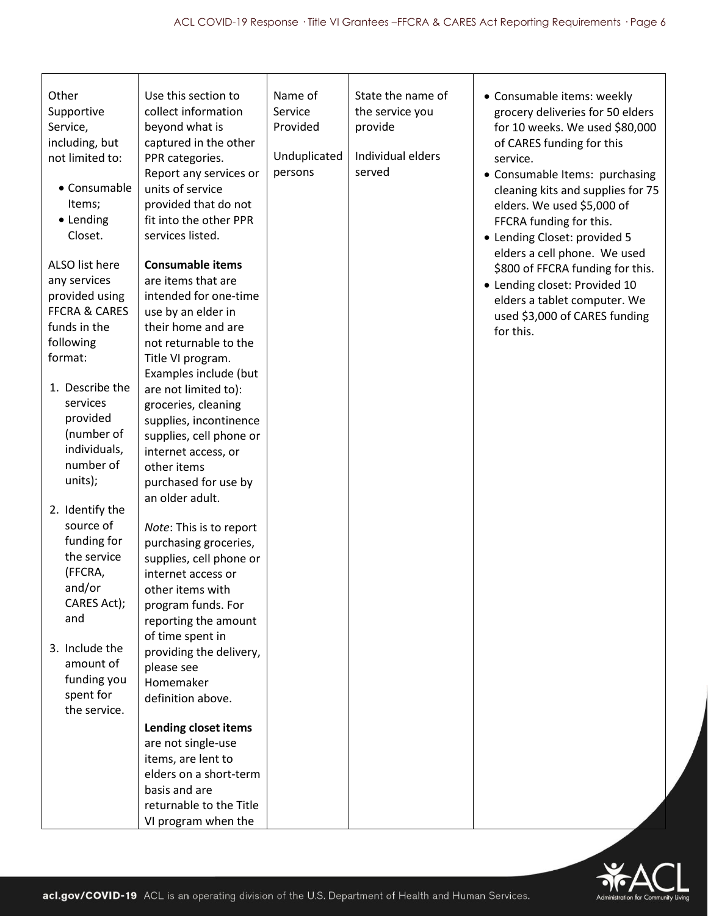| Other<br>Supportive<br>Service,<br>including, but<br>not limited to:<br>• Consumable<br>Items;<br>• Lending<br>Closet.<br>ALSO list here<br>any services<br>provided using<br><b>FFCRA &amp; CARES</b><br>funds in the<br>following<br>format:<br>1. Describe the<br>services<br>provided<br>(number of<br>individuals,<br>number of<br>units);<br>2. Identify the<br>source of<br>funding for<br>the service<br>(FFCRA,<br>and/or<br>CARES Act);<br>and<br>3. Include the<br>amount of<br>funding you<br>spent for<br>the service. | Use this section to<br>collect information<br>beyond what is<br>captured in the other<br>PPR categories.<br>Report any services or<br>units of service<br>provided that do not<br>fit into the other PPR<br>services listed.<br><b>Consumable items</b><br>are items that are<br>intended for one-time<br>use by an elder in<br>their home and are<br>not returnable to the<br>Title VI program.<br>Examples include (but<br>are not limited to):<br>groceries, cleaning<br>supplies, incontinence<br>supplies, cell phone or<br>internet access, or<br>other items<br>purchased for use by<br>an older adult.<br>Note: This is to report<br>purchasing groceries,<br>supplies, cell phone or<br>internet access or<br>other items with<br>program funds. For<br>reporting the amount<br>of time spent in<br>providing the delivery,<br>please see<br>Homemaker<br>definition above. | Name of<br>Service<br>Provided<br>Unduplicated<br>persons | State the name of<br>the service you<br>provide<br>Individual elders<br>served | • Consumable items: weekly<br>grocery deliveries for 50 elders<br>for 10 weeks. We used \$80,000<br>of CARES funding for this<br>service.<br>• Consumable Items: purchasing<br>cleaning kits and supplies for 75<br>elders. We used \$5,000 of<br>FFCRA funding for this.<br>• Lending Closet: provided 5<br>elders a cell phone. We used<br>\$800 of FFCRA funding for this.<br>• Lending closet: Provided 10<br>elders a tablet computer. We<br>used \$3,000 of CARES funding<br>for this. |
|-------------------------------------------------------------------------------------------------------------------------------------------------------------------------------------------------------------------------------------------------------------------------------------------------------------------------------------------------------------------------------------------------------------------------------------------------------------------------------------------------------------------------------------|--------------------------------------------------------------------------------------------------------------------------------------------------------------------------------------------------------------------------------------------------------------------------------------------------------------------------------------------------------------------------------------------------------------------------------------------------------------------------------------------------------------------------------------------------------------------------------------------------------------------------------------------------------------------------------------------------------------------------------------------------------------------------------------------------------------------------------------------------------------------------------------|-----------------------------------------------------------|--------------------------------------------------------------------------------|----------------------------------------------------------------------------------------------------------------------------------------------------------------------------------------------------------------------------------------------------------------------------------------------------------------------------------------------------------------------------------------------------------------------------------------------------------------------------------------------|
|                                                                                                                                                                                                                                                                                                                                                                                                                                                                                                                                     | Lending closet items<br>are not single-use<br>items, are lent to<br>elders on a short-term<br>basis and are<br>returnable to the Title<br>VI program when the                                                                                                                                                                                                                                                                                                                                                                                                                                                                                                                                                                                                                                                                                                                        |                                                           |                                                                                |                                                                                                                                                                                                                                                                                                                                                                                                                                                                                              |

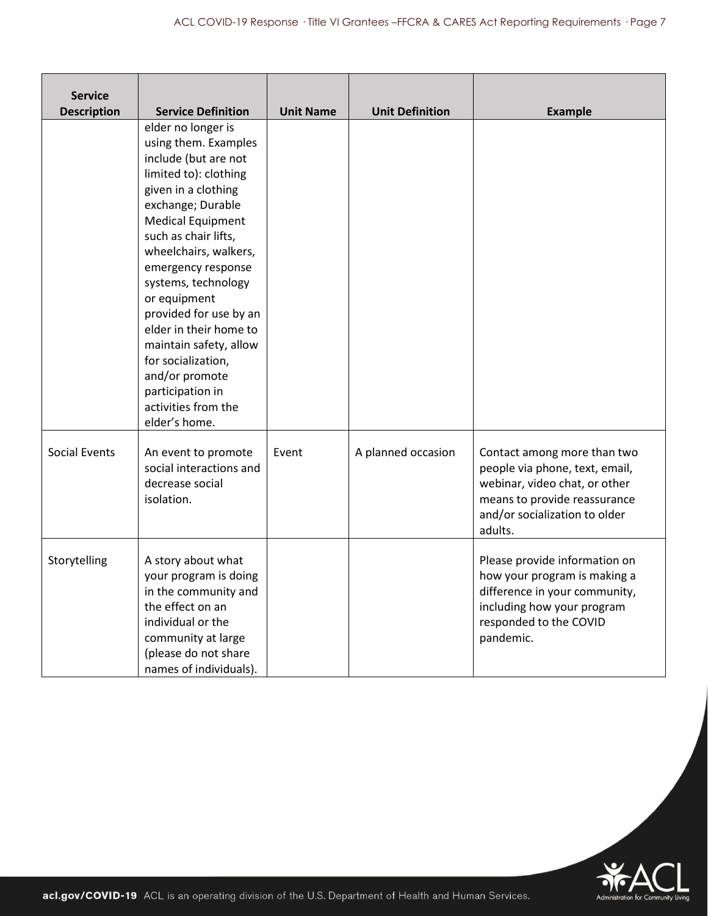| <b>Service</b><br><b>Description</b> | <b>Service Definition</b>                                                                                                                                                                                                                                                                                                                                                                                                                                           | <b>Unit Name</b> | <b>Unit Definition</b> | <b>Example</b>                                                                                                                                                             |
|--------------------------------------|---------------------------------------------------------------------------------------------------------------------------------------------------------------------------------------------------------------------------------------------------------------------------------------------------------------------------------------------------------------------------------------------------------------------------------------------------------------------|------------------|------------------------|----------------------------------------------------------------------------------------------------------------------------------------------------------------------------|
|                                      | elder no longer is<br>using them. Examples<br>include (but are not<br>limited to): clothing<br>given in a clothing<br>exchange; Durable<br><b>Medical Equipment</b><br>such as chair lifts,<br>wheelchairs, walkers,<br>emergency response<br>systems, technology<br>or equipment<br>provided for use by an<br>elder in their home to<br>maintain safety, allow<br>for socialization,<br>and/or promote<br>participation in<br>activities from the<br>elder's home. |                  |                        |                                                                                                                                                                            |
| <b>Social Events</b>                 | An event to promote<br>social interactions and<br>decrease social<br>isolation.                                                                                                                                                                                                                                                                                                                                                                                     | Event            | A planned occasion     | Contact among more than two<br>people via phone, text, email,<br>webinar, video chat, or other<br>means to provide reassurance<br>and/or socialization to older<br>adults. |
| Storytelling                         | A story about what<br>your program is doing<br>in the community and<br>the effect on an<br>individual or the<br>community at large<br>(please do not share<br>names of individuals).                                                                                                                                                                                                                                                                                |                  |                        | Please provide information on<br>how your program is making a<br>difference in your community,<br>including how your program<br>responded to the COVID<br>pandemic.        |

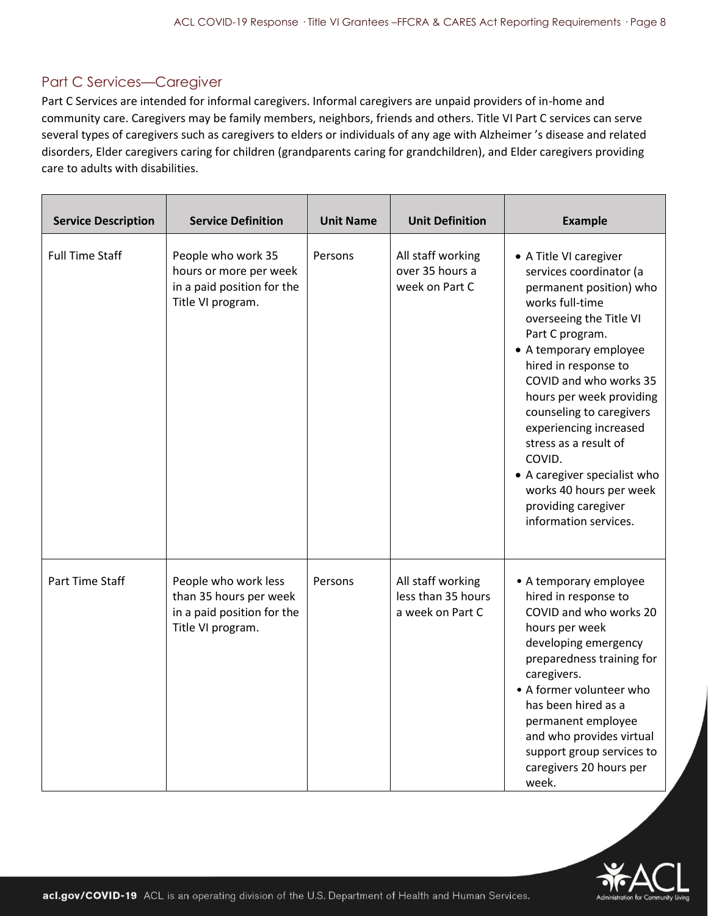#### Part C Services—Caregiver

Part C Services are intended for informal caregivers. Informal caregivers are unpaid providers of in-home and community care. Caregivers may be family members, neighbors, friends and others. Title VI Part C services can serve several types of caregivers such as caregivers to elders or individuals of any age with Alzheimer 's disease and related disorders, Elder caregivers caring for children (grandparents caring for grandchildren), and Elder caregivers providing care to adults with disabilities.

| <b>Service Description</b> | <b>Service Definition</b>                                                                         | <b>Unit Name</b> | <b>Unit Definition</b>                                      | <b>Example</b>                                                                                                                                                                                                                                                                                                                                                                                                                                            |
|----------------------------|---------------------------------------------------------------------------------------------------|------------------|-------------------------------------------------------------|-----------------------------------------------------------------------------------------------------------------------------------------------------------------------------------------------------------------------------------------------------------------------------------------------------------------------------------------------------------------------------------------------------------------------------------------------------------|
| <b>Full Time Staff</b>     | People who work 35<br>hours or more per week<br>in a paid position for the<br>Title VI program.   | Persons          | All staff working<br>over 35 hours a<br>week on Part C      | • A Title VI caregiver<br>services coordinator (a<br>permanent position) who<br>works full-time<br>overseeing the Title VI<br>Part C program.<br>• A temporary employee<br>hired in response to<br>COVID and who works 35<br>hours per week providing<br>counseling to caregivers<br>experiencing increased<br>stress as a result of<br>COVID.<br>• A caregiver specialist who<br>works 40 hours per week<br>providing caregiver<br>information services. |
| Part Time Staff            | People who work less<br>than 35 hours per week<br>in a paid position for the<br>Title VI program. | Persons          | All staff working<br>less than 35 hours<br>a week on Part C | • A temporary employee<br>hired in response to<br>COVID and who works 20<br>hours per week<br>developing emergency<br>preparedness training for<br>caregivers.<br>• A former volunteer who<br>has been hired as a<br>permanent employee<br>and who provides virtual<br>support group services to<br>caregivers 20 hours per<br>week.                                                                                                                      |

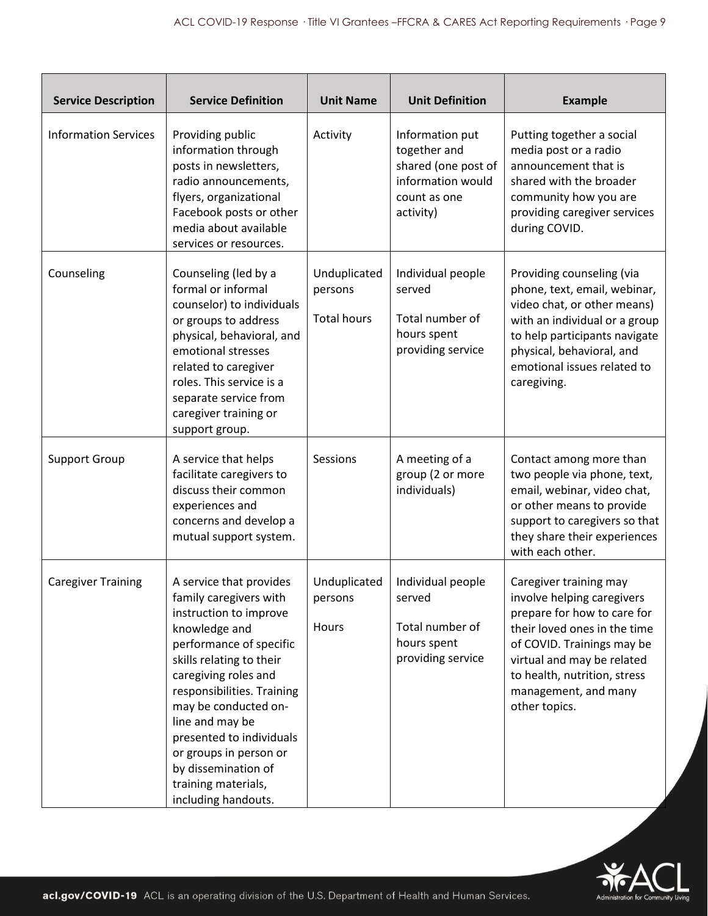| <b>Service Description</b>  | <b>Service Definition</b>                                                                                                                                                                                                                                                                                                                                                       | <b>Unit Name</b>                              | <b>Unit Definition</b>                                                                                   | <b>Example</b>                                                                                                                                                                                                                                           |
|-----------------------------|---------------------------------------------------------------------------------------------------------------------------------------------------------------------------------------------------------------------------------------------------------------------------------------------------------------------------------------------------------------------------------|-----------------------------------------------|----------------------------------------------------------------------------------------------------------|----------------------------------------------------------------------------------------------------------------------------------------------------------------------------------------------------------------------------------------------------------|
| <b>Information Services</b> | Providing public<br>information through<br>posts in newsletters,<br>radio announcements,<br>flyers, organizational<br>Facebook posts or other<br>media about available<br>services or resources.                                                                                                                                                                                | Activity                                      | Information put<br>together and<br>shared (one post of<br>information would<br>count as one<br>activity) | Putting together a social<br>media post or a radio<br>announcement that is<br>shared with the broader<br>community how you are<br>providing caregiver services<br>during COVID.                                                                          |
| Counseling                  | Counseling (led by a<br>formal or informal<br>counselor) to individuals<br>or groups to address<br>physical, behavioral, and<br>emotional stresses<br>related to caregiver<br>roles. This service is a<br>separate service from<br>caregiver training or<br>support group.                                                                                                      | Unduplicated<br>persons<br><b>Total hours</b> | Individual people<br>served<br>Total number of<br>hours spent<br>providing service                       | Providing counseling (via<br>phone, text, email, webinar,<br>video chat, or other means)<br>with an individual or a group<br>to help participants navigate<br>physical, behavioral, and<br>emotional issues related to<br>caregiving.                    |
| <b>Support Group</b>        | A service that helps<br>facilitate caregivers to<br>discuss their common<br>experiences and<br>concerns and develop a<br>mutual support system.                                                                                                                                                                                                                                 | Sessions                                      | A meeting of a<br>group (2 or more<br>individuals)                                                       | Contact among more than<br>two people via phone, text,<br>email, webinar, video chat,<br>or other means to provide<br>support to caregivers so that<br>they share their experiences<br>with each other.                                                  |
| <b>Caregiver Training</b>   | A service that provides<br>family caregivers with<br>instruction to improve<br>knowledge and<br>performance of specific<br>skills relating to their<br>caregiving roles and<br>responsibilities. Training<br>may be conducted on-<br>line and may be<br>presented to individuals<br>or groups in person or<br>by dissemination of<br>training materials,<br>including handouts. | Unduplicated<br>persons<br>Hours              | Individual people<br>served<br>Total number of<br>hours spent<br>providing service                       | Caregiver training may<br>involve helping caregivers<br>prepare for how to care for<br>their loved ones in the time<br>of COVID. Trainings may be<br>virtual and may be related<br>to health, nutrition, stress<br>management, and many<br>other topics. |

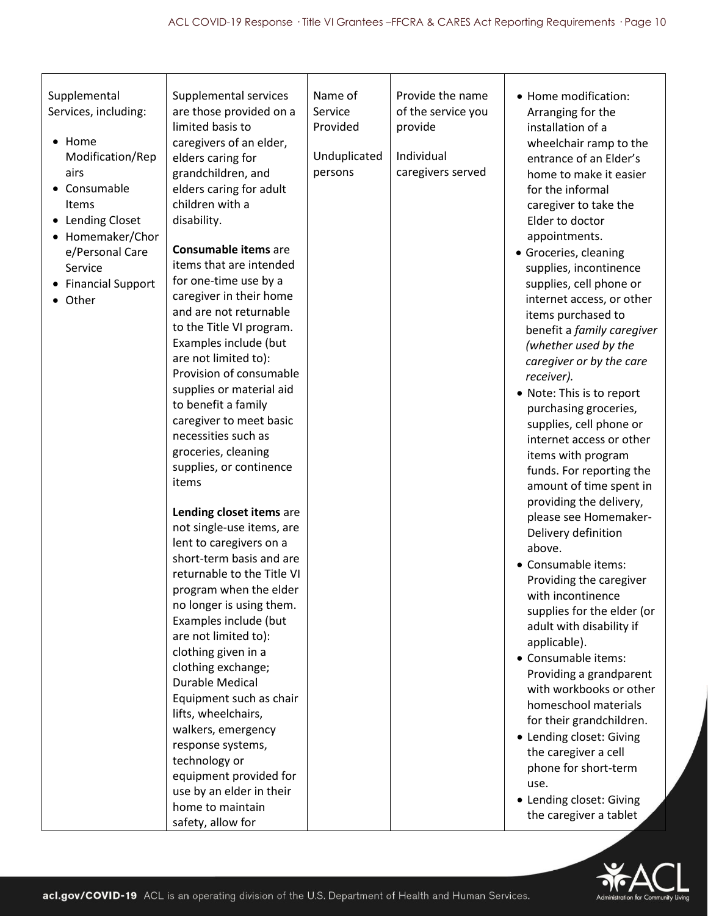| Name of<br>Provide the name<br>Supplemental<br>Supplemental services<br>• Home modification:<br>of the service you<br>Services, including:<br>are those provided on a<br>Service<br>Arranging for the<br>limited basis to<br>Provided<br>provide<br>installation of a<br>Home<br>caregivers of an elder,<br>wheelchair ramp to the<br>$\bullet$<br>Individual<br>Unduplicated<br>Modification/Rep<br>elders caring for<br>entrance of an Elder's<br>caregivers served<br>persons<br>airs<br>grandchildren, and<br>home to make it easier<br>• Consumable<br>elders caring for adult<br>for the informal<br>children with a<br>Items<br>caregiver to take the<br>• Lending Closet<br>disability.<br>Elder to doctor<br>Homemaker/Chor<br>appointments.<br><b>Consumable items are</b><br>e/Personal Care<br>• Groceries, cleaning<br>items that are intended<br>Service<br>supplies, incontinence<br>for one-time use by a<br>supplies, cell phone or<br><b>Financial Support</b><br>caregiver in their home<br>internet access, or other<br>• Other<br>and are not returnable<br>items purchased to<br>to the Title VI program.<br>benefit a family caregiver                                                                                                                                                                                                                                                                                                                                                 |                      |  |                       |  |
|---------------------------------------------------------------------------------------------------------------------------------------------------------------------------------------------------------------------------------------------------------------------------------------------------------------------------------------------------------------------------------------------------------------------------------------------------------------------------------------------------------------------------------------------------------------------------------------------------------------------------------------------------------------------------------------------------------------------------------------------------------------------------------------------------------------------------------------------------------------------------------------------------------------------------------------------------------------------------------------------------------------------------------------------------------------------------------------------------------------------------------------------------------------------------------------------------------------------------------------------------------------------------------------------------------------------------------------------------------------------------------------------------------------------------------------------------------------------------------------------------------------|----------------------|--|-----------------------|--|
| are not limited to):<br>caregiver or by the care<br>Provision of consumable<br>receiver).<br>supplies or material aid<br>• Note: This is to report<br>to benefit a family<br>purchasing groceries,<br>caregiver to meet basic<br>supplies, cell phone or<br>necessities such as<br>internet access or other<br>groceries, cleaning<br>items with program<br>supplies, or continence<br>funds. For reporting the<br>items<br>amount of time spent in<br>providing the delivery,<br>Lending closet items are<br>please see Homemaker-<br>not single-use items, are<br>Delivery definition<br>lent to caregivers on a<br>above.<br>short-term basis and are<br>• Consumable items:<br>returnable to the Title VI<br>Providing the caregiver<br>program when the elder<br>with incontinence<br>no longer is using them.<br>supplies for the elder (or<br>Examples include (but<br>adult with disability if<br>are not limited to):<br>applicable).<br>clothing given in a<br>• Consumable items:<br>clothing exchange;<br>Providing a grandparent<br><b>Durable Medical</b><br>with workbooks or other<br>Equipment such as chair<br>homeschool materials<br>lifts, wheelchairs,<br>for their grandchildren.<br>walkers, emergency<br>• Lending closet: Giving<br>response systems,<br>the caregiver a cell<br>technology or<br>phone for short-term<br>equipment provided for<br>use.<br>use by an elder in their<br>• Lending closet: Giving<br>home to maintain<br>the caregiver a tablet<br>safety, allow for | (whether used by the |  | Examples include (but |  |